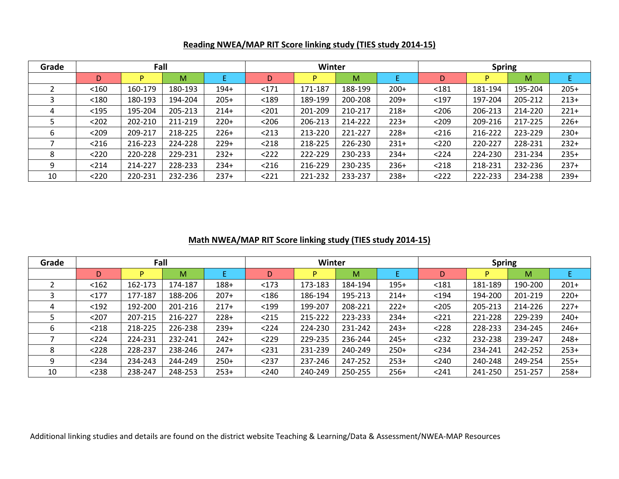| Grade |         | Fall    |         |        |       | Winter  |         |        | <b>Spring</b> |         |         |        |  |
|-------|---------|---------|---------|--------|-------|---------|---------|--------|---------------|---------|---------|--------|--|
|       | D       |         | М       |        | D     |         | M       |        | D             |         | M       |        |  |
|       | $<$ 160 | 160-179 | 180-193 | $194+$ | $171$ | 171-187 | 188-199 | $200+$ | $181$         | 181-194 | 195-204 | $205+$ |  |
|       | < 180   | 180-193 | 194-204 | $205+$ | $189$ | 189-199 | 200-208 | $209+$ | $197$         | 197-204 | 205-212 | $213+$ |  |
| 4     | $195$   | 195-204 | 205-213 | $214+$ | $201$ | 201-209 | 210-217 | $218+$ | $<$ 206       | 206-213 | 214-220 | $221+$ |  |
|       | $202$   | 202-210 | 211-219 | $220+$ | $206$ | 206-213 | 214-222 | $223+$ | $209$         | 209-216 | 217-225 | $226+$ |  |
| 6     | $209$   | 209-217 | 218-225 | $226+$ | < 213 | 213-220 | 221-227 | $228+$ | < 216         | 216-222 | 223-229 | $230+$ |  |
|       | < 216   | 216-223 | 224-228 | $229+$ | < 218 | 218-225 | 226-230 | $231+$ | $<$ 220       | 220-227 | 228-231 | $232+$ |  |
| 8     | $<$ 220 | 220-228 | 229-231 | $232+$ | $222$ | 222-229 | 230-233 | $234+$ | < 224         | 224-230 | 231-234 | $235+$ |  |
| 9     | < 214   | 214-227 | 228-233 | $234+$ | < 216 | 216-229 | 230-235 | $236+$ | < 218         | 218-231 | 232-236 | $237+$ |  |
| 10    | $<$ 220 | 220-231 | 232-236 | $237+$ | 221   | 221-232 | 233-237 | $238+$ | < 222         | 222-233 | 234-238 | $239+$ |  |

## **Reading NWEA/MAP RIT Score linking study (TIES study 2014-15)**

## **Math NWEA/MAP RIT Score linking study (TIES study 2014-15)**

| Grade |         | Fall    |         |        |         | <b>Winter</b> |         |        | <b>Spring</b> |         |         |        |  |
|-------|---------|---------|---------|--------|---------|---------------|---------|--------|---------------|---------|---------|--------|--|
|       | D       |         | M       |        | D       |               | M       |        | D             |         | M       |        |  |
|       | < 162   | 162-173 | 174-187 | $188+$ | < 173   | 173-183       | 184-194 | $195+$ | $181$         | 181-189 | 190-200 | $201+$ |  |
|       | $177$   | 177-187 | 188-206 | $207+$ | < 186   | 186-194       | 195-213 | $214+$ | $194$         | 194-200 | 201-219 | $220+$ |  |
| 4     | $192$   | 192-200 | 201-216 | $217+$ | $199$   | 199-207       | 208-221 | $222+$ | $205$         | 205-213 | 214-226 | $227+$ |  |
|       | $207$   | 207-215 | 216-227 | $228+$ | $215$   | 215-222       | 223-233 | $234+$ | < 221         | 221-228 | 229-239 | $240+$ |  |
| 6     | $<$ 218 | 218-225 | 226-238 | $239+$ | < 224   | 224-230       | 231-242 | $243+$ | $<228$        | 228-233 | 234-245 | $246+$ |  |
|       | < 224   | 224-231 | 232-241 | $242+$ | $<$ 229 | 229-235       | 236-244 | $245+$ | < 232         | 232-238 | 239-247 | $248+$ |  |
| 8     | $<228$  | 228-237 | 238-246 | $247+$ | < 231   | 231-239       | 240-249 | $250+$ | < 234         | 234-241 | 242-252 | $253+$ |  |
| 9     | < 234   | 234-243 | 244-249 | $250+$ | $237$   | 237-246       | 247-252 | $253+$ | < 240         | 240-248 | 249-254 | $255+$ |  |
| 10    | $<238$  | 238-247 | 248-253 | $253+$ | < 240   | 240-249       | 250-255 | $256+$ | $241$         | 241-250 | 251-257 | $258+$ |  |

Additional linking studies and details are found on the district website Teaching & Learning/Data & Assessment/NWEA-MAP Resources